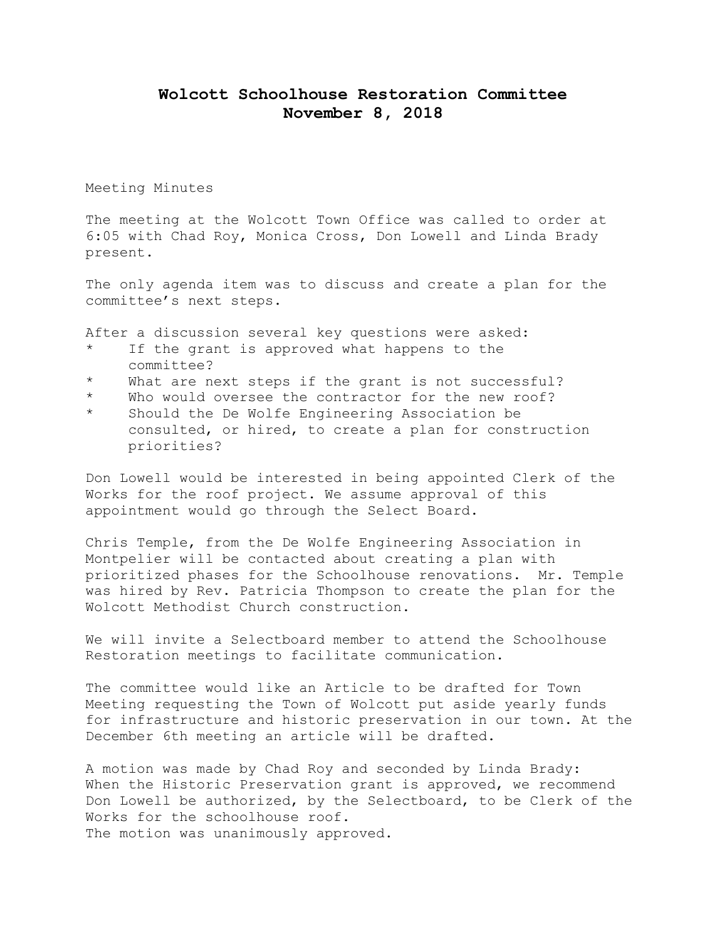## **Wolcott Schoolhouse Restoration Committee November 8, 2018**

Meeting Minutes

The meeting at the Wolcott Town Office was called to order at 6:05 with Chad Roy, Monica Cross, Don Lowell and Linda Brady present.

The only agenda item was to discuss and create a plan for the committee's next steps.

After a discussion several key questions were asked:

- If the grant is approved what happens to the committee?
- What are next steps if the grant is not successful?
- \* Who would oversee the contractor for the new roof?
- Should the De Wolfe Engineering Association be consulted, or hired, to create a plan for construction priorities?

Don Lowell would be interested in being appointed Clerk of the Works for the roof project. We assume approval of this appointment would go through the Select Board.

Chris Temple, from the De Wolfe Engineering Association in Montpelier will be contacted about creating a plan with prioritized phases for the Schoolhouse renovations. Mr. Temple was hired by Rev. Patricia Thompson to create the plan for the Wolcott Methodist Church construction.

We will invite a Selectboard member to attend the Schoolhouse Restoration meetings to facilitate communication.

The committee would like an Article to be drafted for Town Meeting requesting the Town of Wolcott put aside yearly funds for infrastructure and historic preservation in our town. At the December 6th meeting an article will be drafted.

A motion was made by Chad Roy and seconded by Linda Brady: When the Historic Preservation grant is approved, we recommend Don Lowell be authorized, by the Selectboard, to be Clerk of the Works for the schoolhouse roof. The motion was unanimously approved.